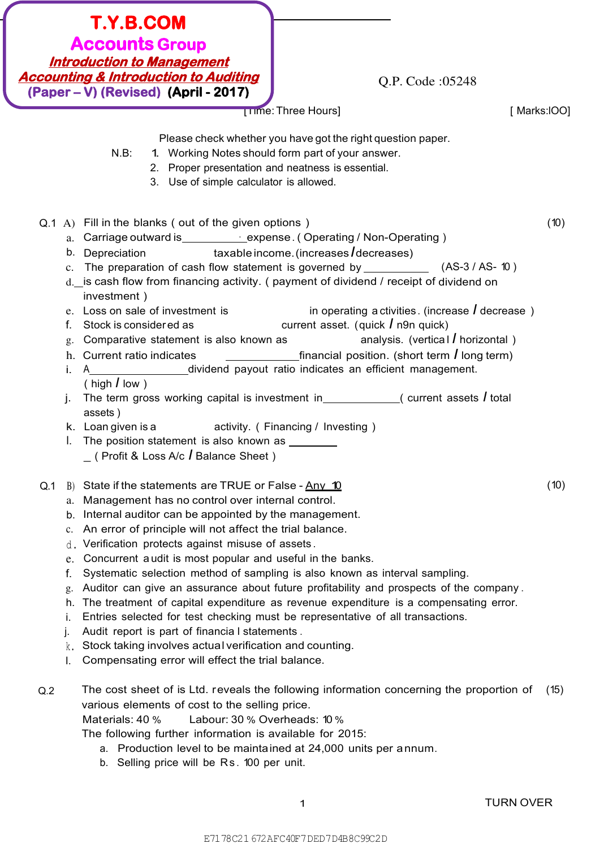| <b>T.Y.B.COM</b><br><b>Accounts Group</b><br><b>Introduction to Management</b><br><b>Accounting &amp; Introduction to Auditing</b><br>Q.P. Code: 05248<br>(Paper – V) (Revised) (April - 2017)                                                                                                                                                                                                                                                                                                                                                                                                                                                                                                                                                                                                                                                                                                                                                                                                                                                                                                                                                                                      |      |
|-------------------------------------------------------------------------------------------------------------------------------------------------------------------------------------------------------------------------------------------------------------------------------------------------------------------------------------------------------------------------------------------------------------------------------------------------------------------------------------------------------------------------------------------------------------------------------------------------------------------------------------------------------------------------------------------------------------------------------------------------------------------------------------------------------------------------------------------------------------------------------------------------------------------------------------------------------------------------------------------------------------------------------------------------------------------------------------------------------------------------------------------------------------------------------------|------|
| [Time: Three Hours]<br>[Marks:IOO]                                                                                                                                                                                                                                                                                                                                                                                                                                                                                                                                                                                                                                                                                                                                                                                                                                                                                                                                                                                                                                                                                                                                                  |      |
| Please check whether you have got the right question paper.<br>1. Working Notes should form part of your answer.<br>$N.B$ :<br>2. Proper presentation and neatness is essential.<br>3. Use of simple calculator is allowed.                                                                                                                                                                                                                                                                                                                                                                                                                                                                                                                                                                                                                                                                                                                                                                                                                                                                                                                                                         |      |
| Q.1 A) Fill in the blanks (out of the given options)<br>a. Carriage outward is_____________expense. (Operating / Non-Operating )<br>b. Depreciation $\qquad \qquad$ taxable income. (increases / decreases)<br>c. The preparation of cash flow statement is governed by _______________ (AS-3 / AS- 10)<br>d. is cash flow from financing activity. (payment of dividend / receipt of dividend on<br>investment)<br>in operating a ctivities. (increase $\overline{I}$ decrease)<br>e. Loss on sale of investment is<br>current asset. (quick $\sqrt{I}$ n9n quick)<br>Stock is considered as<br>f.<br>analysis. (vertical $\overline{I}$ horizontal)<br>g. Comparative statement is also known as<br>$\frac{1}{2}$ financial position. (short term <i>l</i> long term)<br>h. Current ratio indicates<br>A____________________dividend payout ratio indicates an efficient management.<br>i.<br>(high $\int$ low)<br>The term gross working capital is investment in $\sqrt{ }$ (current assets f total<br>j.<br>assets)<br>k. Loan given is a bead activity. (Financing / Investing)<br>I. The position statement is also known as ________<br>(Profit & Loss A/c / Balance Sheet) | (10) |
| State if the statements are TRUE or False - Any 10<br>Q.1<br>B)<br>Management has no control over internal control.<br>a.<br>Internal auditor can be appointed by the management.<br>b.<br>An error of principle will not affect the trial balance.<br>$c_{\cdot}$<br>Verification protects against misuse of assets.<br>d.<br>Concurrent audit is most popular and useful in the banks.<br>e.<br>Systematic selection method of sampling is also known as interval sampling.<br>f.<br>Auditor can give an assurance about future profitability and prospects of the company.<br>g.<br>The treatment of capital expenditure as revenue expenditure is a compensating error.<br>h.<br>Entries selected for test checking must be representative of all transactions.<br>İ.<br>Audit report is part of financia I statements.<br>Stock taking involves actual verification and counting.<br>k.<br>Compensating error will effect the trial balance.<br>L.                                                                                                                                                                                                                             | (10) |
| The cost sheet of is Ltd. reveals the following information concerning the proportion of<br>Q.2<br>various elements of cost to the selling price.<br>Labour: 30 % Overheads: 10 %<br>Materials: 40 %<br>The following further information is available for 2015:<br>a. Production level to be maintained at 24,000 units per annum.                                                                                                                                                                                                                                                                                                                                                                                                                                                                                                                                                                                                                                                                                                                                                                                                                                                 | (15) |

b. Selling price will be Rs . 100 per unit.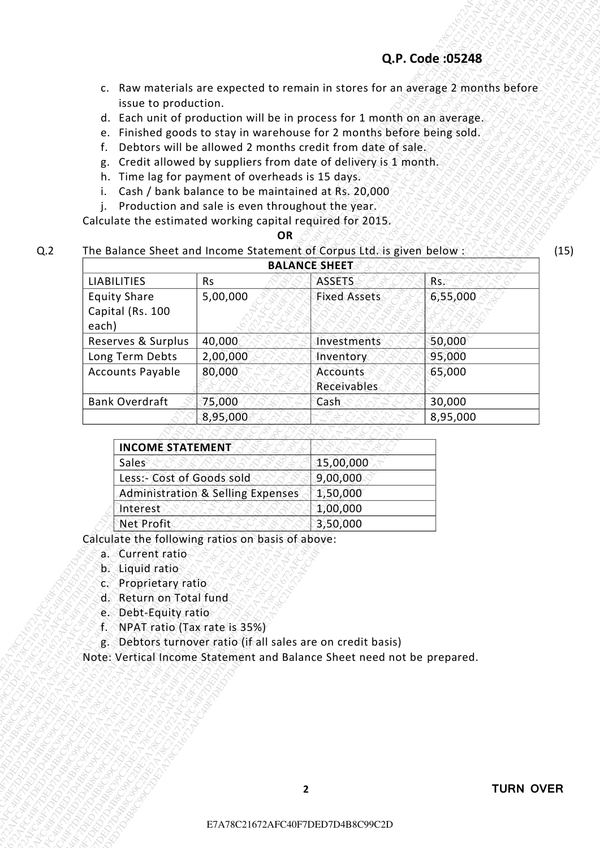- c. Raw materials are expected to remain in stores for an average 2 months before issue to production.
- d. Each unit of production will be in process for 1 month on an average.
- e. Finished goods to stay in warehouse for 2 months before being sold.
- f. Debtors will be allowed 2 months credit from date of sale.
- g. Credit allowed by suppliers from date of delivery is 1 month.
- h. Time lag for payment of overheads is 15 days.
- i. Cash / bank balance to be maintained at Rs. 20,000
- j. Production and sale is even throughout the year.

#### *OR*

### Q.2 The Balance Sheet and Income Statement of Corpus Ltd. is given below :

|                                                  |                                                                                          |                                                                                                                                                                                                                                                                                                                                                                                                                                                                                                                            |                                       | Q.P. Code: 05248                                                                 |
|--------------------------------------------------|------------------------------------------------------------------------------------------|----------------------------------------------------------------------------------------------------------------------------------------------------------------------------------------------------------------------------------------------------------------------------------------------------------------------------------------------------------------------------------------------------------------------------------------------------------------------------------------------------------------------------|---------------------------------------|----------------------------------------------------------------------------------|
|                                                  |                                                                                          |                                                                                                                                                                                                                                                                                                                                                                                                                                                                                                                            |                                       | c. Raw materials are expected to remain in stores for an average 2 months before |
| f.<br>g.<br>j.                                   | issue to production.                                                                     | d. Each unit of production will be in process for 1 month on an average.<br>e. Finished goods to stay in warehouse for 2 months before being sold.<br>Debtors will be allowed 2 months credit from date of sale.<br>Credit allowed by suppliers from date of delivery is 1 month.<br>h. Time lag for payment of overheads is 15 days.<br>Cash / bank balance to be maintained at Rs. 20,000<br>Production and sale is even throughout the year.<br>Calculate the estimated working capital required for 2015.<br><b>OR</b> |                                       |                                                                                  |
|                                                  |                                                                                          | The Balance Sheet and Income Statement of Corpus Ltd. is given below:                                                                                                                                                                                                                                                                                                                                                                                                                                                      |                                       |                                                                                  |
| <b>LIABILITIES</b>                               |                                                                                          | <b>Rs</b>                                                                                                                                                                                                                                                                                                                                                                                                                                                                                                                  | <b>BALANCE SHEET</b><br><b>ASSETS</b> | Rs.                                                                              |
| <b>Equity Share</b><br>Capital (Rs. 100<br>each) |                                                                                          | 5,00,000                                                                                                                                                                                                                                                                                                                                                                                                                                                                                                                   | <b>Fixed Assets</b>                   | 6,55,000                                                                         |
| Reserves & Surplus                               |                                                                                          | 40,000                                                                                                                                                                                                                                                                                                                                                                                                                                                                                                                     | Investments                           | 50,000                                                                           |
| Long Term Debts                                  |                                                                                          | 2,00,000                                                                                                                                                                                                                                                                                                                                                                                                                                                                                                                   | Inventory                             | 95,000                                                                           |
| <b>Accounts Payable</b>                          |                                                                                          | 80,000                                                                                                                                                                                                                                                                                                                                                                                                                                                                                                                     | <b>Accounts</b><br>Receivables        | 65,000                                                                           |
| <b>Bank Overdraft</b>                            |                                                                                          | 75,000<br>8,95,000                                                                                                                                                                                                                                                                                                                                                                                                                                                                                                         | Cash                                  | 30,000<br>8,95,000                                                               |
|                                                  |                                                                                          |                                                                                                                                                                                                                                                                                                                                                                                                                                                                                                                            |                                       |                                                                                  |
|                                                  | <b>INCOME STATEMENT</b>                                                                  |                                                                                                                                                                                                                                                                                                                                                                                                                                                                                                                            |                                       |                                                                                  |
| Sales                                            |                                                                                          |                                                                                                                                                                                                                                                                                                                                                                                                                                                                                                                            | 15,00,000                             |                                                                                  |
|                                                  |                                                                                          | Less:- Cost of Goods sold                                                                                                                                                                                                                                                                                                                                                                                                                                                                                                  | 9,00,000                              |                                                                                  |
| Interest                                         |                                                                                          | <b>Administration &amp; Selling Expenses</b>                                                                                                                                                                                                                                                                                                                                                                                                                                                                               | 1,50,000<br>1,00,000                  |                                                                                  |
|                                                  | Net Profit                                                                               |                                                                                                                                                                                                                                                                                                                                                                                                                                                                                                                            | 3,50,000                              |                                                                                  |
| b. Liquid ratio<br>4.                            | a. Current ratio<br>Proprietary ratio<br>d. Return on Total fund<br>e. Debt-Equity ratio | Calculate the following ratios on basis of above:<br>NPAT ratio (Tax rate is 35%)<br>g. Debtors turnover ratio (if all sales are on credit basis)<br>Note: Vertical Income Statement and Balance Sheet need not be prepared.                                                                                                                                                                                                                                                                                               |                                       |                                                                                  |
|                                                  |                                                                                          |                                                                                                                                                                                                                                                                                                                                                                                                                                                                                                                            |                                       |                                                                                  |
|                                                  |                                                                                          |                                                                                                                                                                                                                                                                                                                                                                                                                                                                                                                            |                                       |                                                                                  |

| <b>INCOME STATEMENT</b>                      |           |
|----------------------------------------------|-----------|
| Sales                                        | 15,00,000 |
| Less: Cost of Goods sold                     | 9,00,000  |
| <b>Administration &amp; Selling Expenses</b> | 1,50,000  |
| Interest                                     | 1,00,000  |
| Net Profit                                   | 3,50,000  |

- a. Current ratio
- b. Liquid ratio
- c. Proprietary ratio
- d. Return on Total fund
- e. Debt-Equity ratio
- f. NPAT ratio (Tax rate is 35%)
- g. Debtors turnover ratio (if all sales are on credit basis)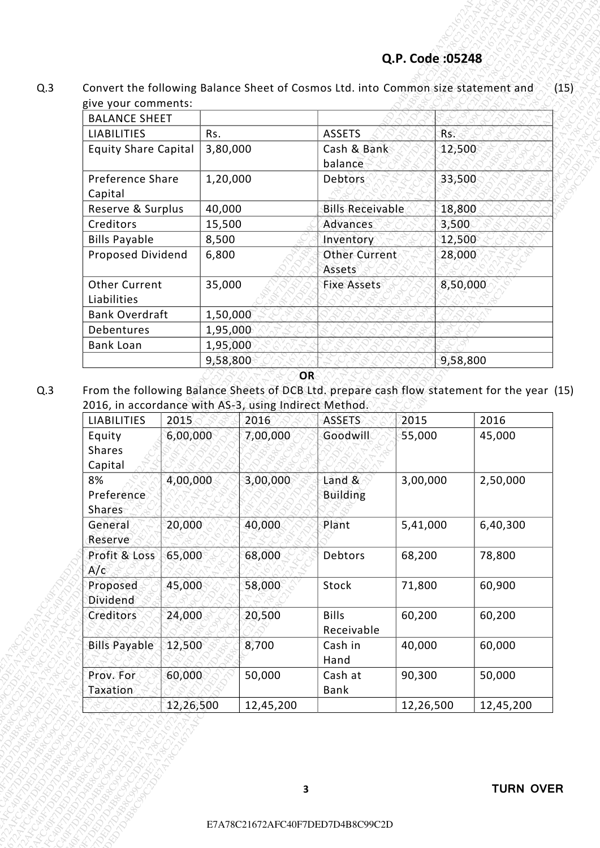| <b>BALANCE SHEET</b>        |          |                         |          |
|-----------------------------|----------|-------------------------|----------|
| <b>LIABILITIES</b>          | Rs.      | <b>ASSETS</b>           | Rs.      |
| <b>Equity Share Capital</b> | 3,80,000 | Cash & Bank             | 12,500   |
|                             |          | balance                 |          |
| Preference Share            | 1,20,000 | Debtors                 | 33,500   |
| Capital                     |          |                         |          |
| Reserve & Surplus           | 40,000   | <b>Bills Receivable</b> | 18,800   |
| Creditors                   | 15,500   | Advances                | 3,500    |
| <b>Bills Payable</b>        | 8,500    | Inventory               | 12,500   |
| Proposed Dividend           | 6,800    | <b>Other Current</b>    | 28,000   |
|                             |          | Assets                  |          |
| <b>Other Current</b>        | 35,000   | <b>Fixe Assets</b>      | 8,50,000 |
| Liabilities                 |          |                         |          |
| <b>Bank Overdraft</b>       | 1,50,000 |                         |          |
| Debentures                  | 1,95,000 |                         |          |
| <b>Bank Loan</b>            | 1,95,000 |                         |          |
|                             | 9,58,800 |                         | 9,58,800 |
|                             | OR       |                         |          |

|                                                                             |                     |          |                     | Convert the following Balance Sheet of Cosmos Ltd. into Common size statement and           |                     |          |                     |
|-----------------------------------------------------------------------------|---------------------|----------|---------------------|---------------------------------------------------------------------------------------------|---------------------|----------|---------------------|
| give your comments:<br><b>BALANCE SHEET</b>                                 |                     |          |                     |                                                                                             |                     |          |                     |
| <b>LIABILITIES</b>                                                          |                     | Rs.      |                     | <b>ASSETS</b>                                                                               |                     | Rs.      |                     |
| <b>Equity Share Capital</b>                                                 |                     | 3,80,000 |                     | Cash & Bank<br>balance                                                                      |                     | 12,500   |                     |
| Preference Share                                                            |                     | 1,20,000 |                     | Debtors                                                                                     |                     | 33,500   |                     |
| Capital<br>Reserve & Surplus                                                |                     | 40,000   |                     | <b>Bills Receivable</b>                                                                     |                     | 18,800   |                     |
| Creditors                                                                   |                     | 15,500   |                     | Advances                                                                                    |                     | 3,500    |                     |
| <b>Bills Payable</b>                                                        |                     | 8,500    |                     | Inventory                                                                                   |                     | 12,500   |                     |
| Proposed Dividend                                                           |                     | 6,800    |                     | <b>Other Current</b><br>Assets                                                              |                     | 28,000   |                     |
| <b>Other Current</b><br>Liabilities                                         |                     | 35,000   |                     | <b>Fixe Assets</b>                                                                          |                     | 8,50,000 |                     |
| <b>Bank Overdraft</b>                                                       |                     | 1,50,000 |                     |                                                                                             |                     |          |                     |
| Debentures                                                                  |                     | 1,95,000 |                     |                                                                                             |                     |          |                     |
| <b>Bank Loan</b>                                                            |                     | 1,95,000 |                     |                                                                                             |                     | 9,58,800 |                     |
| 2016, in accordance with AS-3, using Indirect Method.<br><b>LIABILITIES</b> | 2015                | 9,58,800 | OR                  | From the following Balance Sheets of DCB Ltd. prepare cash flow statement for the year (15) | 2015                |          | 2016                |
| Equity                                                                      | 6,00,000            |          | 2016<br>7,00,000    | <b>ASSETS</b><br>Goodwill                                                                   | 55,000              |          | 45,000              |
| Shares<br>Capital<br>8%                                                     | 4,00,000            |          | 3,00,000            | Land &                                                                                      | 3,00,000            |          | 2,50,000            |
| Preference<br>Shares<br>General                                             | 20,000              |          | 40,000              | <b>Building</b><br>Plant                                                                    | 5,41,000            |          | 6,40,300            |
| Reserve<br>Profit & Loss                                                    |                     |          |                     | Debtors                                                                                     | 68,200              |          |                     |
| A/c                                                                         | 65,000              |          | 68,000              |                                                                                             |                     |          | 78,800              |
| Proposed<br>Dividend                                                        | 45,000              |          | 58,000              | Stock                                                                                       | 71,800              |          | 60,900              |
| <b>Creditors</b>                                                            | 24,000              |          | 20,500              | <b>Bills</b><br>Receivable                                                                  | 60,200              |          | 60,200              |
| <b>Bills Payable</b>                                                        | 12,500              |          | 8,700               | Cash in<br>Hand                                                                             | 40,000              |          | 60,000              |
| Prov. For<br>Taxation                                                       | 60,000<br>12,26,500 |          | 50,000<br>12,45,200 | Cash at<br>Bank                                                                             | 90,300<br>12,26,500 |          | 50,000<br>12,45,200 |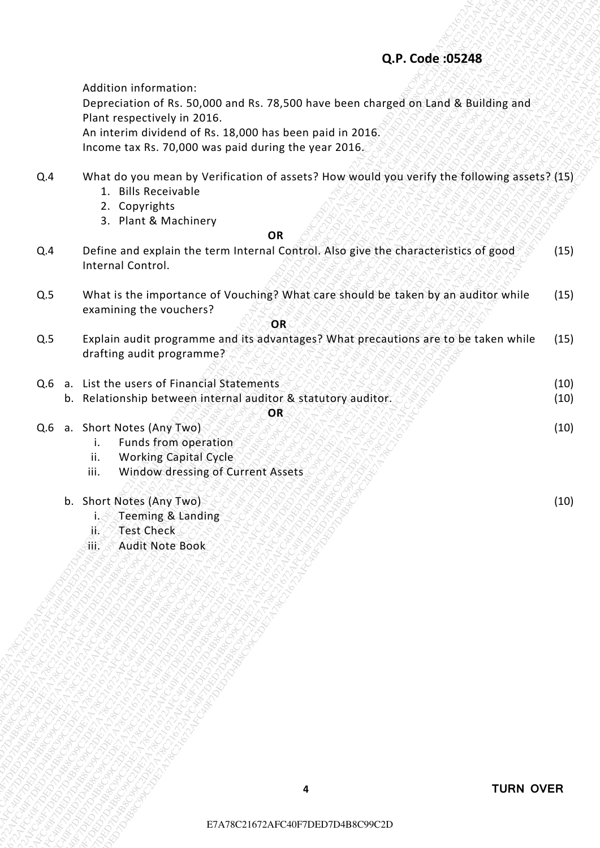- Q.4 What do you mean by Verification of assets? How would you verify the following assets? (15)
	- 1. Bills Receivable
	- 2. Copyrights
	- 3. Plant & Machinery

#### *OR* **OR**

- Q.4 Define and explain the term Internal Control. Also give the characteristics of good Internal Control. (15)
- Q.5 What is the importance of Vouching? What care should be taken by an auditor while examining the vouchers? (15)

| Income tax Rs. 70,000 was paid during the year 2016.<br>What do you mean by Verification of assets? How would you verify the following assets? (15)<br>Q.4<br>1. Bills Receivable<br>2. Copyrights<br>3. Plant & Machinery<br><b>OR</b><br>Define and explain the term Internal Control. Also give the characteristics of good<br>Q.4<br>Internal Control.<br>What is the importance of Vouching? What care should be taken by an auditor while<br>Q.5<br>examining the vouchers?<br>OR<br>Explain audit programme and its advantages? What precautions are to be taken while<br>Q.5<br>drafting audit programme?<br>a. List the users of Financial Statements<br>Q.6<br>b. Relationship between internal auditor & statutory auditor.<br>OR<br>a. Short Notes (Any Two)<br>Q.6<br>Funds from operation<br>i.<br><b>Working Capital Cycle</b><br>ii.<br>Window dressing of Current Assets<br>iii.<br>b. Short Notes (Any Two) |  | Teeming & Landing<br>i.ê<br><b>Test Check</b><br>j(<br>Stit.<br>Audit Note Book |              |
|-------------------------------------------------------------------------------------------------------------------------------------------------------------------------------------------------------------------------------------------------------------------------------------------------------------------------------------------------------------------------------------------------------------------------------------------------------------------------------------------------------------------------------------------------------------------------------------------------------------------------------------------------------------------------------------------------------------------------------------------------------------------------------------------------------------------------------------------------------------------------------------------------------------------------------|--|---------------------------------------------------------------------------------|--------------|
|                                                                                                                                                                                                                                                                                                                                                                                                                                                                                                                                                                                                                                                                                                                                                                                                                                                                                                                               |  |                                                                                 | (10)         |
|                                                                                                                                                                                                                                                                                                                                                                                                                                                                                                                                                                                                                                                                                                                                                                                                                                                                                                                               |  |                                                                                 | (10)         |
|                                                                                                                                                                                                                                                                                                                                                                                                                                                                                                                                                                                                                                                                                                                                                                                                                                                                                                                               |  |                                                                                 | (10)<br>(10) |
|                                                                                                                                                                                                                                                                                                                                                                                                                                                                                                                                                                                                                                                                                                                                                                                                                                                                                                                               |  |                                                                                 | (15)         |
|                                                                                                                                                                                                                                                                                                                                                                                                                                                                                                                                                                                                                                                                                                                                                                                                                                                                                                                               |  |                                                                                 | (15)         |
|                                                                                                                                                                                                                                                                                                                                                                                                                                                                                                                                                                                                                                                                                                                                                                                                                                                                                                                               |  |                                                                                 | (15)         |
|                                                                                                                                                                                                                                                                                                                                                                                                                                                                                                                                                                                                                                                                                                                                                                                                                                                                                                                               |  |                                                                                 |              |
|                                                                                                                                                                                                                                                                                                                                                                                                                                                                                                                                                                                                                                                                                                                                                                                                                                                                                                                               |  |                                                                                 |              |
| Depreciation of Rs. 50,000 and Rs. 78,500 have been charged on Land & Building and<br>Plant respectively in 2016.                                                                                                                                                                                                                                                                                                                                                                                                                                                                                                                                                                                                                                                                                                                                                                                                             |  | An interim dividend of Rs. 18,000 has been paid in 2016.                        |              |
| Q.P. Code: 05248<br>Addition information:                                                                                                                                                                                                                                                                                                                                                                                                                                                                                                                                                                                                                                                                                                                                                                                                                                                                                     |  |                                                                                 |              |

- i. Funds from operation
- ii. Working Capital Cycle
- iii. Window dressing of Current Assets
- b. Short Notes (Any Two)
	- i. Teeming & Landing
	- ii. Test Check
	- iii. Audit Note Book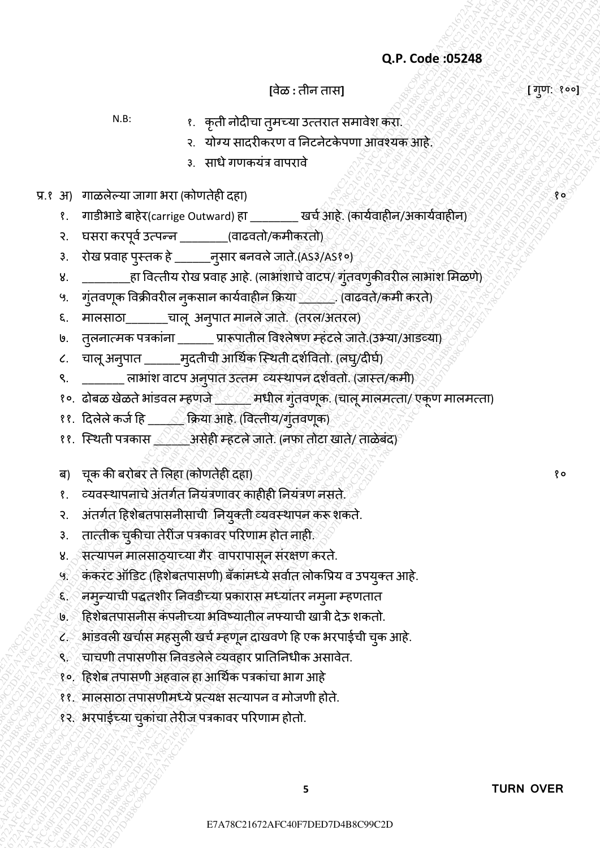**[**वȯळ **:** तीन तास**] [** गण: ु १००**]**

- N.B: १. कृती नȪदीचा तुमच्या उत्तरात समावȯश करा.
	- २. योग्य सादरीकरण व निटनेटकेपणा आवश्यक आहे.
	- ३. साधे गणकयंत्र वापरावे
- प्र.१ अ) गाळलेल्या जागा भरा (कोणतेही दहा) संस्कृतिक स्ट्रेलिक स्ट्रेलिक स्ट्रेलिक स्ट्रेलिक स्ट्रेलिक स्ट्रेलि
	- १. गाडीभाडे बाहेर(carrige Outward) हा \_\_\_\_\_\_\_\_ खर्च आहे. (कार्यवाहीन/अकार्यवाहीन)
	- २. घसरा करपूर्व उत्पन्न \_\_\_\_\_\_\_\_(वाढवतो/कमीकरतो)
	- ३. रȪख प्रवाह पुस्तक हȯ \_\_\_\_\_\_नुसार बनवलȯजातȯ.;AS३/AS१०Ϳ
- Q.P. Code: 05248<br>  $R+2$ <br>  $R+3$ <br>  $R+4$ <br>  $R+4$ <br>  $R+5$ <br>  $R+5$ <br>  $R+6$ <br>  $R+6$ <br>  $R+6$ <br>  $R+6$ <br>  $R+6$ <br>  $R+6$ <br>  $R+6$ <br>  $R+6$ <br>  $R+6$ <br>  $R+6$ <br>  $R+6$ <br>  $R+6$ <br>  $R+6$ <br>  $R+6$ <br>  $R+6$ <br>  $R+6$ <br>  $R+6$ <br>  $R+6$ <br>  $R+6$ <br>  $R+6$ <br>  $R+6$ <br>  $R+6$ <br>  $R+6$ <br> **C.P. Code: 49248** [279]. 1998<br>
V.R. **a**  $\pm \pi \pi \frac{3}{2}$  a  $\pm \pi \frac{3}{2}$  and  $\pm \pi \frac{3}{2}$  and  $\pm \pi \frac{3}{2}$  and  $\pm \pi \frac{3}{2}$  and  $\pm \pi \frac{3}{2}$  and  $\pm \pi \frac{3}{2}$  and  $\pm \pi \frac{3}{2}$  and  $\pm \pi \frac{3}{2}$  and  $\pm \pi \frac{3}{2}$  and **EXAPTER FRACT AFTER CONSULTER CONSULTER CONSULTER CONSULTER CONSULTER CONSULTER CONSULTER CONSULTER CONSULTER CONSULTER CONSULTER CONSULTER CONSULTER CONSULTER CONSULTER CONSULTER CONSULTER CONSULTER CONSULTER CONSULTER** Exactly 1202-1117 (Text)<br>  $\begin{array}{rcl} \mathbf{R}^{2} & \mathbf{R}^{2} & \mathbf{R}^{2} & \mathbf{R}^{2} & \mathbf{R}^{2} & \mathbf{R}^{2} & \mathbf{R}^{2} & \mathbf{R}^{2} & \mathbf{R}^{2} & \mathbf{R}^{2} & \mathbf{R}^{2} & \mathbf{R}^{2} & \mathbf{R}^{2} & \mathbf{R}^{2} & \mathbf{R}^{2} & \mathbf{R}^{2} & \mathbf{R}^{2} & \mathbf{R}^{2} & \mathbf{R}$ Q.P. Code: 05248<br>
F128:  $\frac{1}{2}$  and a such a such a such a such a such a such a such a such a such a such a such a such a such a such a such a such a such a such a such a such a such a such a such a such a such a such a Q.P. Code: 05248<br>
N.R. (a) and a refused aperture content term in the set of the set of the set of the set of the set of the set of the set of the set of the set of the set of the set of the set of the set of the set of t Q.P. Code 39248<br>
Figs. - it and another convert method of the converter state of the converter of the converter of the converter of the converter of the converter of the converter of the converter of the converter of the Q.P. Code 39248<br>
Figs. - it and another convert method of the converter state of the converter of the converter of the converter of the converter of the converter of the converter of the converter of the converter of the Q.P. Code 39248<br>
Figs. - it and another convert method of the converter state of the converter of the converter of the converter of the converter of the converter of the converter of the converter of the converter of the Q.P. Code 39248<br>
Figs. - it and another convert method of the converter state of the converter of the converter of the converter of the converter of the converter of the converter of the converter of the converter of the Q.P. Code 39248<br>
Figs. - it and another convert method of the converter state of the converter of the converter of the converter of the converter of the converter of the converter of the converter of the converter of the Q.P. Code 39248<br>
Figs. - it and another convert method of the converter state of the converter of the converter of the converter of the converter of the converter of the converter of the converter of the converter of the Q.P. Code 39248<br>
Figs. - it and another convert method of the converter state of the converter of the converter of the converter of the converter of the converter of the converter of the converter of the converter of the Q.P. Code 352484<br>
VAR c. #5741 afcores are carried a constrained a constrained a constrained a constrained a constrained a constrained a constrained a constrained a constrained a constrained a constrained a constrained a Q.P. Code :95248<br>
ERR (27478)  $\frac{1}{2}$  and material agency content and in the content and in the content and in the content and in the content and in the content and in the content and in the content and in the content a Q.P. Code: 052248<br>
R.C.  $\frac{1}{2}$  of  $\frac{1}{2}$  of  $\frac{1}{2}$  of  $\frac{1}{2}$  or  $\frac{1}{2}$  or  $\frac{1}{2}$  or  $\frac{1}{2}$  or  $\frac{1}{2}$  or  $\frac{1}{2}$  or  $\frac{1}{2}$  or  $\frac{1}{2}$  or  $\frac{1}{2}$  or  $\frac{1}{2}$  or  $\frac{1}{2}$  or  $\frac{1}{2}$  or  $\$ E7A78C21672AFC40F7DED7D4B8C99C2DE7A78C21672AFC40F7DED7D4B8C99C2DE7A78C21672AFC40F7DED7D4B8C99C2DE7A78C21672AFC40F7DED7D4B8C99C2DE7A78C21672AFC40F7DED7D4B8C99C2DE7A78C21672AFC40F7DED7D4B8C99C2D Q.P. Code 392A8  $\left\{ \frac{1}{2}, \frac{1}{2}, \frac{1}{2}, \frac{1}{2}, \frac{1}{2}, \frac{1}{2}, \frac{1}{2}, \frac{1}{2}, \frac{1}{2}, \frac{1}{2}, \frac{1}{2}, \frac{1}{2}, \frac{1}{2}, \frac{1}{2}, \frac{1}{2}, \frac{1}{2}, \frac{1}{2}, \frac{1}{2}, \frac{1}{2}, \frac{1}{2}, \frac{1}{2}, \frac{1}{2}, \frac{1}{2}, \frac{1}{2}, \frac{1}{2}, \frac{1}{2}, \frac{1}{2}, \frac{1}{2}, \frac{1$ Q.P. Code .05248<br>  $(1, 2)$ <br>
V.B.  $\frac{1}{2}$  of  $\frac{1}{2}$  of  $\frac{1}{2}$  of  $\frac{1}{2}$ <br>  $\frac{1}{2}$  of  $\frac{1}{2}$ <br>  $\frac{1}{2}$  of  $\frac{1}{2}$ <br>  $\frac{1}{2}$ <br>  $\frac{1}{2}$ <br>  $\frac{1}{2}$ <br>  $\frac{1}{2}$ <br>  $\frac{1}{2}$ <br>  $\frac{1}{2}$ <br>  $\frac{1}{2}$ <br>  $\frac{1}{2}$ <br>  $\$ Q.P. Code: 195248<br>  $(48\pi)^4$  (a)  $(48\pi)^4$  (a)  $(48\pi)^4$  (b)  $(48\pi)^4$  (a)  $(48\pi)^4$  (a)  $(48\pi)^4$  (b)  $(48\pi)^4$  (b)  $(48\pi)^4$  (c)  $(48\pi)^4$  (c)  $(48\pi)^4$  (c)  $(48\pi)^4$  (c)  $(48\pi)^4$  (c)  $(48\pi)^4$  (c)  $(48\pi)^4$  (c)  $(48\pi$ ४. \_\_\_\_\_\_\_\_\_हा वित्तीय रोख प्रवाह आहे. (लाभांशाचे वाटप/ गुंतवणुकीवरील लाभांश मिळणे)
	- ५. गुंतवणूक विक्रीवरील नुकसान कार्यवाहीन क्रिया \_\_\_\_. (वाढवते/कमी करते)
	- ६. मालसाठा\_\_\_\_\_\_\_चालू अनुपात मानले जाते. (तरल/अतरल)
	- ७. तुलनात्मक पत्रकांना \_\_\_\_\_\_ प्रारूपातील विश्लेषण म्हंटले जाते.(उभ्या/आडव्या)
	- ८. चालू अनुपात \_\_\_\_\_\_\_ मुदतीची आर्थिक स्थिती दर्शवितो. (लघु/दीर्घ)
	- ९. \_\_\_\_\_\_\_\_ लाभांश वाटप अनुपात उत्तम व्यस्थापन दर्शवतो. (जास्त/कमी)
	- १०. ढोबळ खेळते भांडवल म्हणजे \_\_\_\_\_\_ मधील गुंतवणूक. (चालू मालमत्ता/ एकूण मालमत्ता)
	- ११. दिलेले कर्ज हि \_\_\_\_\_ क्रिया आहे. (वित्तीय/गुंतवणूक)
	- ११. स्थिती पत्रकास <u>∠ें</u> असेही म्हटले जाते. (नफा तोटा खाते/ ताळेबंद)
	- ब) चक की बरोबर ते लिहा (कोणतेही दहा) है कि इस की कर की की कार्य करने हैं। क
	- १. व्यवस्थापनाचे अंतर्गत नियंत्रणावर काहीही नियंत्रण नसते.
	- २. अंतर्गत हिशेबतपासनीसाची नियुक्ती व्यवस्थापन करू शकते.
	- ३. तात्तीक चुकीचा तेरीज पत्रकावर परिणाम होत नाही.
	- ४. सत्यापन मालसाठ्याच्या गैर वापरापासून संरक्षण करते.
	- ५. कॅकरेंट ऑडिट (हिशेबतपासणी) बँकांमध्ये सर्वात लोकप्रिय व उपयुक्त आहे.
	- ६. नमुन्याची पद्धतशीर निवडीच्या प्रकारास मध्यातर नमुना म्हणतात
	- ७. हिशेबतपासनीस कंपनीच्या भविष्यातील नफ्याची खात्री देऊ शकतो.
	- ८. भांडवली खर्चास महसुली खर्च म्हणून दाखवणे हि एक भरपाईची चुक आहे.
	- ९. चाचणी तपासणीस निवडलेले व्यवहार प्रातिनिधीक असावेत.
	- १०. हिशेब तपासणी अहवाल हा आर्थिक पत्रकांचा भाग आहे
	- ११. मालसाठा तपासणीमध्ये प्रत्यक्ष सत्यापन व मोजणी होते.
	- १२. भरपाईच्या चुकांचा तेरीज पत्रकावर परिणाम होतो.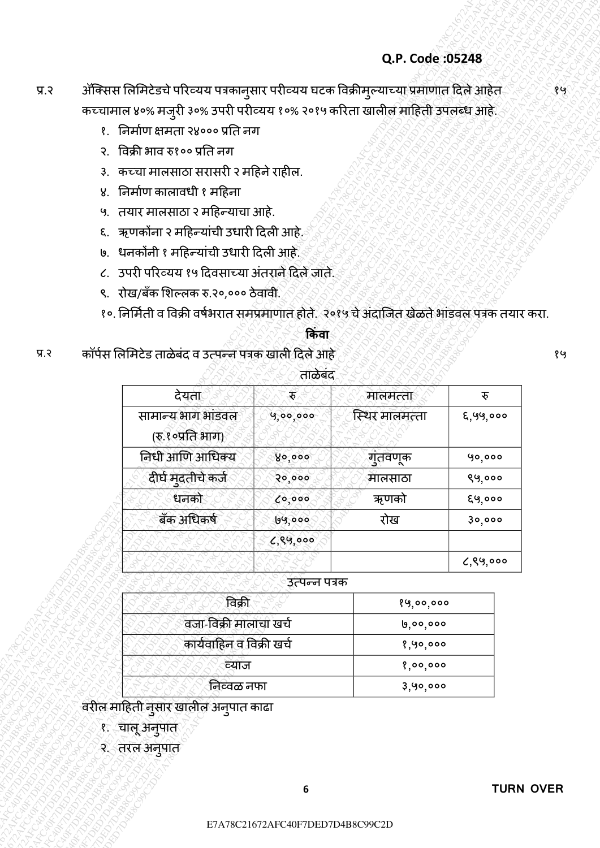# प्र.२ अॅक्सिस लिमिटेडचे परिव्यय पत्रकानुसार परीव्यय घटक विक्रीमुल्याच्या प्रमाणात दिले आहेत कच्चामाल ४०% मजुरी ३०% उपरी परीव्यय १०% २०१५ करिता खालील माहिती उपलब्ध आहे.

- १. ननमाचण क्षमता २४००० प्रनत नग
- २. ववक्री भाव ǽ१०० प्रनत नग
- ३. कच्चा मालसाठा सरासरी २ महिने राहील.
- ४. ननमाचण कालावधी १ मदहना
- ५. तयार मालसाठा २ महिन्याचा आहे.
- ६. ऋणकोंना २ महिन्यांची उधारी दिली आहे.
- ७. धनकोंनी १ महिन्यांची उधारी दिली आहे.
- ८. उपरी परिव्यय १५ दिवसाच्या अंतराने दिले जाते.
- ९. रोख/बँक शिल्लक रु.२०,००० ठेवावी.
- १०. निर्मिती व विक्री वर्षभरात समप्रमाणात होते. २०१५ चे अंदाजित खेळते भांडवल पत्रक तयार करा.

# **क िंवा**

|                       |                                                                                              |               | Q.P. Code: 05248     |          |
|-----------------------|----------------------------------------------------------------------------------------------|---------------|----------------------|----------|
|                       | ॲक्सिस लिमिटेडचे परिव्यय पत्रकानुसार परीव्यय घटक विक्रीमुल्याच्या प्रमाणात दिले आहेत्.       |               |                      |          |
|                       | कच्चामाल ४०% मजुरी ३०% उपरी परीव्यय १०% २०१५ करिता खालील माहिती उपलब्ध आहे.                  |               |                      |          |
|                       | १.   निर्माण क्षमता २४००० प्रति नग                                                           |               |                      |          |
| $\mathcal{R}_{\cdot}$ | विक्री भाव रु१०० प्रति नग                                                                    |               |                      |          |
| 3.                    | कच्चा मालसाठा सरासरी २ महिने राहील.                                                          |               |                      |          |
| ४.                    | निर्माण कालावधी १ महिना                                                                      |               |                      |          |
| ५.                    | तयार मालसाठा २ महिन्याचा आहे.                                                                |               |                      |          |
| ξ.                    | ्ऋणकोंना २ महिन्यांची उधारी दिली आहे.                                                        |               |                      |          |
|                       | ७. धनकोंनी १ महिन्यांची उधारी दिली आहे.                                                      |               |                      |          |
|                       | ८. उपरी परिव्यय १५ दिवसाच्या अंतराने दिले जाते.                                              |               |                      |          |
| ९.                    | रोख/बँक शिल्लक रु.२०,००० ठेवावी.                                                             |               |                      |          |
|                       | १०. निर्मिती व विक्री वर्षभरात समप्रमाणात होते. २०१५ चे अंदाजित खेळते भांडवल पत्रक तयार करा. |               |                      |          |
|                       |                                                                                              | किंवा         |                      |          |
|                       |                                                                                              |               |                      |          |
|                       | कॉर्पस लिमिटेड ताळेबंद व उत्पन्न पत्रक खाली दिले आहे                                         |               |                      |          |
|                       |                                                                                              | ताळेबंद       |                      |          |
|                       | देयता                                                                                        | È,            | मालमत्ता             | रु       |
|                       | सामान्य भाग भांडवल                                                                           | 9,00,000      | स्थिर मालमत्ता       | ६,५५,००० |
|                       | (रु.१०प्रति भाग)                                                                             |               |                      |          |
|                       | निधी आणि आधिक्य                                                                              | 80,000        | ग़ुतवणूक             | 90,000   |
|                       | दीर्घ मुदतीचे कर्ज                                                                           | 50,000        | मालसाठा              | ९५,०००   |
|                       | धनको                                                                                         | 6,000         | ऋणको                 | ६५,०००   |
|                       | बँक अधिकर्ष                                                                                  | 69,000        | रोख                  | 30,000   |
|                       |                                                                                              | 6,89,000      |                      |          |
|                       |                                                                                              |               |                      | 6,89,000 |
|                       |                                                                                              | उत्पन्न पत्रक |                      |          |
|                       | विक्री                                                                                       |               | 89,00,000            |          |
|                       | वजा-विक्री मालाचा खर्च                                                                       |               | 0,00,000             |          |
|                       | कार्यवाहिन व विक्री खर्च                                                                     |               | १,५०,०००             |          |
|                       | व्याज<br>निव्वळ नफा                                                                          |               | 8,00,000<br>3,90,000 |          |

### उत्पन्न पत्रक

| विक्री                   | १५,००,००० |
|--------------------------|-----------|
| वजा-विक्री मालाचा खर्च   | ७,००,०००  |
| कार्यवाहिन व विक्री खर्च | १,५०,०००  |
| व्याज                    | १,००,०००  |
| जिव्वळ नफा               | ३,५०,०००  |

- १. चालूअनुपात
- २. तरल अनुपात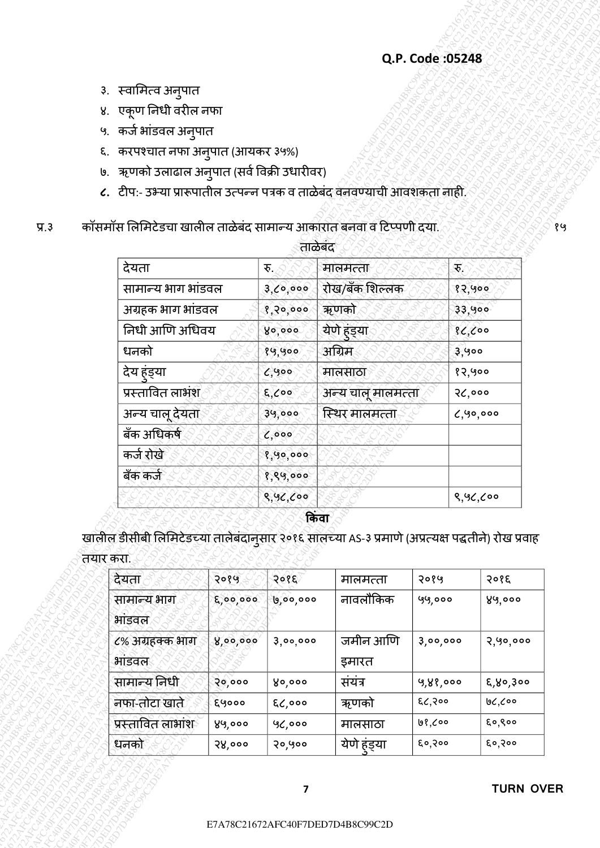- ३. स्वामित्व अनुपात
- ४. एकूण ननधी वरील नफा
- ५. कर्ज भांडवल अनुपात
- ६. करपश्चात नफा अनुपात (आयकर ३५%)
- ७. ऋणको उलाढाल अनुपात (सर्व विक्री उधारीवर)
- **८.** टीप:- उभ्या प्राǾपातील उत्पन्न पत्रक व ताळȯबȲद वनवण्याची आवशकता नाही.
- प्र.३ कॉसमॉस लिमिटेडचा खालील ताळेबंद सामान्य आकारात बनवा व टिप्पणी दया.

| ताळेबंद<br>देयता<br>$\mathcal{F}_i$<br>मालमत्ता<br>रु.<br>सामान्य भाग भांडवल<br>रोख/बँक शिल्लक<br>3,0,000<br>१२,५००<br>अग्रहक भाग भांडवल<br>ऋणको<br>33,900<br>8,20,000<br>येणे हंड्या<br>निधी आणि अधिवय<br>86,000<br>४०,०००<br>अग्रिम<br>धनको<br>१५,५००<br>३,५००<br>देय हुंड्या<br>१२,५००<br>6,900<br>मालसाठा<br>प्रस्तावित लाभंश<br>२८,०००<br>$E,$ coo<br>अन्य चालू मालमत्ता<br>अन्य चालू देयता<br>स्थिर मालमत्ता<br>39,000<br>बँक अधिकर्ष<br>0,000<br>कर्ज रोखे<br>१,५०,०००<br>बँक कर्ज<br>१,९५,०००<br>8,92,000<br>8,96,000<br>किंवा<br>खालील डीसीबी लिमिटेडच्या तालेबंदानुसार २०१६ सालच्या AS-३ प्रमाणे (अप्रत्यक्ष पद्धतीने) रोख प्रवाह<br>तयार करा.<br>देयता<br>२०१६<br>२०१७<br>२०१५<br>मालमत्ता<br>नावलौकिक<br>सामान्य भाग<br>5,00,000<br>५५,०००<br><u>ს</u> ,ბი,იიი |  | ५. कर्ज भांडवल अनुपात<br>७. ऋणको उलाढाल अनुपात (सर्व विक्री उधारीवर)<br>८. टीप:- उभ्या प्रारूपातील उत्पन्न पत्रक व ताळेबंद वनवण्याची आवशकता नाही.<br>कॉसमॉस लिमिटेडचा खालील ताळेबंद सामान्य आकारात बनवा व टिप्पणी दया.<br>6,90,000<br>२०१६<br>४५,००० |
|----------------------------------------------------------------------------------------------------------------------------------------------------------------------------------------------------------------------------------------------------------------------------------------------------------------------------------------------------------------------------------------------------------------------------------------------------------------------------------------------------------------------------------------------------------------------------------------------------------------------------------------------------------------------------------------------------------------------------------------------------------------------------|--|------------------------------------------------------------------------------------------------------------------------------------------------------------------------------------------------------------------------------------------------------|
|                                                                                                                                                                                                                                                                                                                                                                                                                                                                                                                                                                                                                                                                                                                                                                            |  |                                                                                                                                                                                                                                                      |
|                                                                                                                                                                                                                                                                                                                                                                                                                                                                                                                                                                                                                                                                                                                                                                            |  |                                                                                                                                                                                                                                                      |
|                                                                                                                                                                                                                                                                                                                                                                                                                                                                                                                                                                                                                                                                                                                                                                            |  |                                                                                                                                                                                                                                                      |
|                                                                                                                                                                                                                                                                                                                                                                                                                                                                                                                                                                                                                                                                                                                                                                            |  |                                                                                                                                                                                                                                                      |
|                                                                                                                                                                                                                                                                                                                                                                                                                                                                                                                                                                                                                                                                                                                                                                            |  |                                                                                                                                                                                                                                                      |
|                                                                                                                                                                                                                                                                                                                                                                                                                                                                                                                                                                                                                                                                                                                                                                            |  |                                                                                                                                                                                                                                                      |
|                                                                                                                                                                                                                                                                                                                                                                                                                                                                                                                                                                                                                                                                                                                                                                            |  |                                                                                                                                                                                                                                                      |
|                                                                                                                                                                                                                                                                                                                                                                                                                                                                                                                                                                                                                                                                                                                                                                            |  |                                                                                                                                                                                                                                                      |
|                                                                                                                                                                                                                                                                                                                                                                                                                                                                                                                                                                                                                                                                                                                                                                            |  |                                                                                                                                                                                                                                                      |
|                                                                                                                                                                                                                                                                                                                                                                                                                                                                                                                                                                                                                                                                                                                                                                            |  |                                                                                                                                                                                                                                                      |
|                                                                                                                                                                                                                                                                                                                                                                                                                                                                                                                                                                                                                                                                                                                                                                            |  |                                                                                                                                                                                                                                                      |
|                                                                                                                                                                                                                                                                                                                                                                                                                                                                                                                                                                                                                                                                                                                                                                            |  |                                                                                                                                                                                                                                                      |
|                                                                                                                                                                                                                                                                                                                                                                                                                                                                                                                                                                                                                                                                                                                                                                            |  |                                                                                                                                                                                                                                                      |
|                                                                                                                                                                                                                                                                                                                                                                                                                                                                                                                                                                                                                                                                                                                                                                            |  |                                                                                                                                                                                                                                                      |
|                                                                                                                                                                                                                                                                                                                                                                                                                                                                                                                                                                                                                                                                                                                                                                            |  |                                                                                                                                                                                                                                                      |
|                                                                                                                                                                                                                                                                                                                                                                                                                                                                                                                                                                                                                                                                                                                                                                            |  |                                                                                                                                                                                                                                                      |
|                                                                                                                                                                                                                                                                                                                                                                                                                                                                                                                                                                                                                                                                                                                                                                            |  |                                                                                                                                                                                                                                                      |
|                                                                                                                                                                                                                                                                                                                                                                                                                                                                                                                                                                                                                                                                                                                                                                            |  |                                                                                                                                                                                                                                                      |
| ६. करपश्चात नफा अनुपात (आयकर ३५%)                                                                                                                                                                                                                                                                                                                                                                                                                                                                                                                                                                                                                                                                                                                                          |  |                                                                                                                                                                                                                                                      |
|                                                                                                                                                                                                                                                                                                                                                                                                                                                                                                                                                                                                                                                                                                                                                                            |  |                                                                                                                                                                                                                                                      |
| ४. एकूण निधी वरील नफा                                                                                                                                                                                                                                                                                                                                                                                                                                                                                                                                                                                                                                                                                                                                                      |  |                                                                                                                                                                                                                                                      |
| ३. स्वामित्व अनुपात                                                                                                                                                                                                                                                                                                                                                                                                                                                                                                                                                                                                                                                                                                                                                        |  |                                                                                                                                                                                                                                                      |

| देयता                    | २०१५     | २०१६     | मालमत्ता          | २०१५     | २०१६     |
|--------------------------|----------|----------|-------------------|----------|----------|
| सामान्य भाग<br>भाडवल     | 6,00,000 | ७,००,००० | नावलौकिक          | ५५,०००   | ४५,०००   |
| ८% अग्रहक्क भाग<br>भाडवल | ४,००,००० | 3,00,000 | जमीन आणि<br>इमारत | 3,00,000 | २,५०,००० |
| सामान्य निधी             | २०,०००   | ४०,०००   | संयंत्र           | 9,88,000 | ६,४०,३०० |
| नफा-तोटा खाते.           | ६५०००    | ६८,०००   | ऋणको              | ६८,२००   | ७८,८००   |
| प्रस्तावित लाभांश        | ४५,०००   | ५८,०००   | मालसाठा           | ७१,८००   | ६०,९००   |
| धनको                     | २४,०००   | २०,५००   | येणे हंड्या       | ६०,२००   | ६०,२००   |